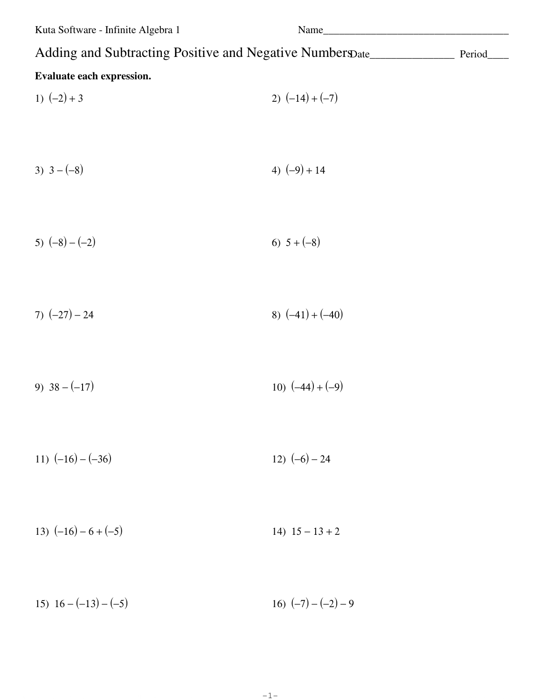| Kuta Software - Infinite Algebra 1                                                       | Name                  |  |
|------------------------------------------------------------------------------------------|-----------------------|--|
| Adding and Subtracting Positive and Negative Number Date________________________ Period_ |                       |  |
| Evaluate each expression.                                                                |                       |  |
| 1) $(-2) + 3$                                                                            | 2) $(-14)+(-7)$       |  |
|                                                                                          |                       |  |
| 3) $3-(-8)$                                                                              | 4) $(-9) + 14$        |  |
|                                                                                          |                       |  |
| 5) $(-8) - (-2)$                                                                         | 6) $5 + (-8)$         |  |
|                                                                                          |                       |  |
| 7) $(-27) - 24$                                                                          | 8) $(-41) + (-40)$    |  |
|                                                                                          |                       |  |
| 9) $38 - (-17)$                                                                          | 10) $(-44) + (-9)$    |  |
|                                                                                          |                       |  |
| 11) $(-16) - (-36)$                                                                      | 12) $(-6) - 24$       |  |
|                                                                                          |                       |  |
| 13) $(-16) - 6 + (-5)$                                                                   | 14) $15 - 13 + 2$     |  |
|                                                                                          |                       |  |
| 15) $16 - (-13) - (-5)$                                                                  | 16) $(-7) - (-2) - 9$ |  |

 $-1-$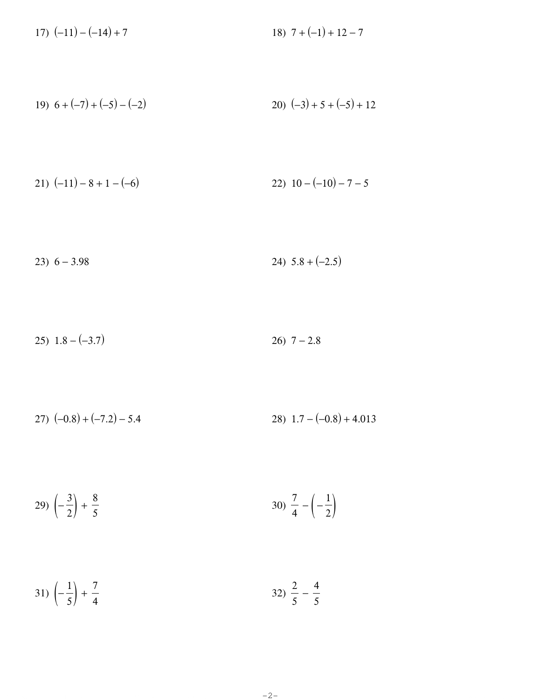17)  $(-11) - (-14) + 7$ 18)  $7 + (-1) + 12 - 7$ 

19) 
$$
6 + (-7) + (-5) - (-2)
$$
  
20)  $(-3) + 5 + (-5) + 12$ 

$$
21) (-11) - 8 + 1 - (-6) \qquad 22) 10 - (-10) - 7 - 5
$$

$$
23) 6 - 3.98 \t\t\t 24) 5.8 + (-2.5)
$$

$$
25) \quad 1.8 - (-3.7) \tag{26} \quad 7 - 2.8
$$

$$
27) (-0.8) + (-7.2) - 5.4
$$
  

$$
28) 1.7 - (-0.8) + 4.013
$$

$$
29)\left(-\frac{3}{2}\right) + \frac{8}{5}
$$
\n
$$
30)\frac{7}{4} - \left(-\frac{1}{2}\right)
$$

$$
31)\left(-\frac{1}{5}\right) + \frac{7}{4} \hspace{320pt} 32)\frac{2}{5} - \frac{4}{5}
$$

 $-2-$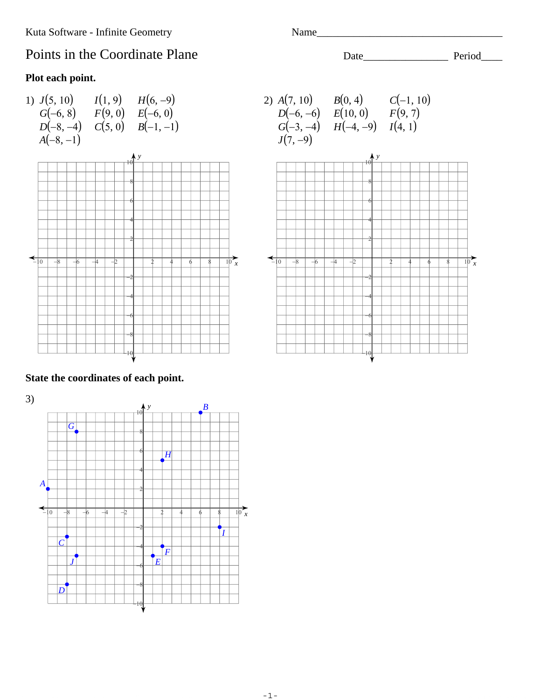# Points in the Coordinate Plane

### Plot each point.



Name\_

## State the coordinates of each point.

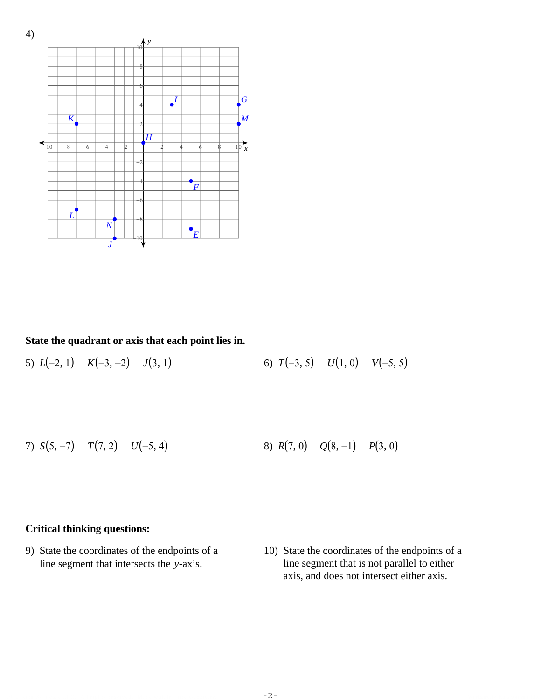

**State the quadrant or axis that each point lies in.**

5)  $L(-2, 1)$   $K(-3, -2)$   $J(3, 1)$  6)  $T(-3, 5)$   $U(1, 0)$   $V(-5, 5)$ 

7) 
$$
S(5, -7)
$$
  $T(7, 2)$   $U(-5, 4)$    
8)  $R(7, 0)$   $Q(8, -1)$   $P(3, 0)$ 

 $\sim$  2012 Kath Software LLC. All rights reserved. Made with Infinite Geometr $\sim$   $-2$   $-$ 

-2-

#### **Critical thinking questions:**

- 9) State the coordinates of the endpoints of a line segment that intersects the *y*-axis.
- 10) State the coordinates of the endpoints of a line segment that is not parallel to either axis, and does not intersect either axis.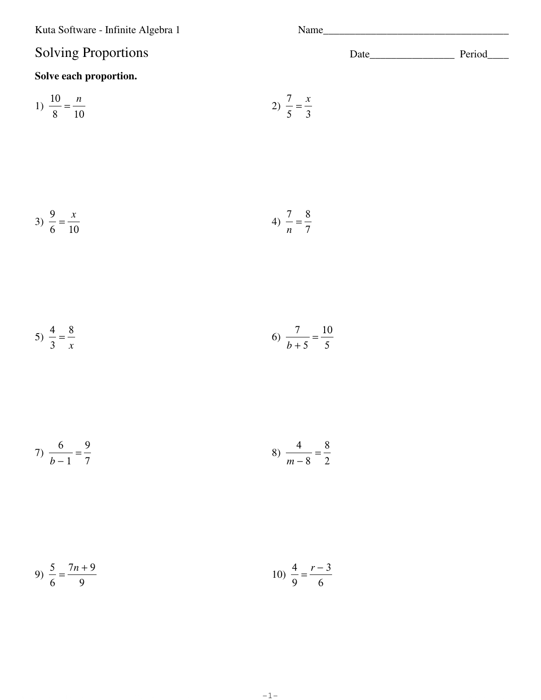Kuta Software - Infinite Algebra 1

# **Solving Proportions**

## Solve each proportion.

1) 
$$
\frac{10}{8} = \frac{n}{10}
$$
 2)  $\frac{7}{5} = \frac{x}{3}$ 

3) 
$$
\frac{9}{6} = \frac{x}{10}
$$
 4)  $\frac{7}{n} = \frac{8}{7}$ 

5) 
$$
\frac{4}{3} = \frac{8}{x}
$$
 6)  $\frac{7}{b+5} = \frac{10}{5}$ 

$$
7) \frac{6}{b-1} = \frac{9}{7}
$$

9) 
$$
\frac{5}{6} = \frac{7n+9}{9}
$$
   
10)  $\frac{4}{9} = \frac{r-3}{6}$ 

 $-1-$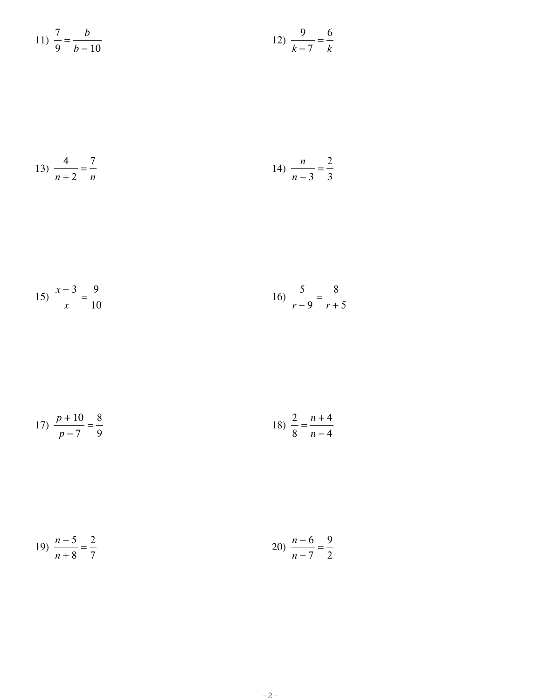11) 
$$
\frac{7}{9} = \frac{b}{b-10}
$$
   
12)  $\frac{9}{k-7} = \frac{6}{k}$ 

13) 
$$
\frac{4}{n+2} = \frac{7}{n}
$$
 14)  $\frac{n}{n-3} = \frac{2}{3}$ 

$$
15) \frac{x-3}{x} = \frac{9}{10}
$$
 
$$
16) \frac{5}{r-9} = \frac{8}{r+5}
$$

17) 
$$
\frac{p+10}{p-7} = \frac{8}{9}
$$
 18)  $\frac{2}{8} = \frac{n+4}{n-4}$ 

19) 
$$
\frac{n-5}{n+8} = \frac{2}{7}
$$
 20) 
$$
\frac{n-6}{n-7} = \frac{9}{2}
$$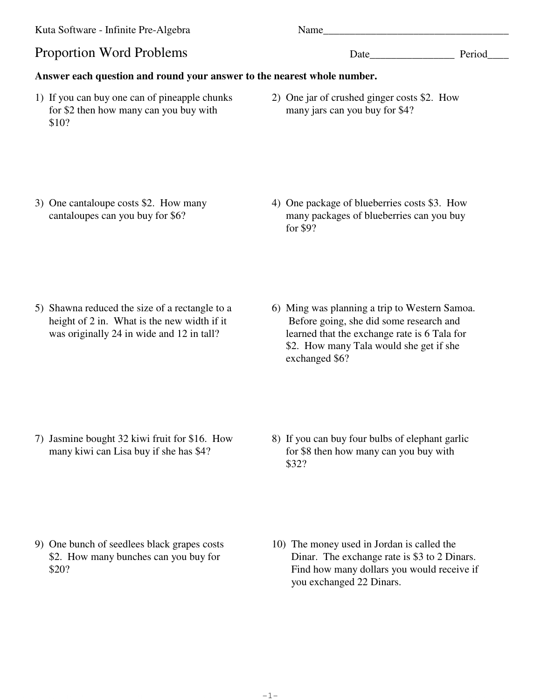Kuta Software - Infinite Pre-Algebra Name\_\_\_\_\_\_\_\_\_\_\_\_\_\_\_\_\_\_\_\_\_\_\_\_\_\_\_\_\_\_\_\_\_\_\_ Proportion Word Problems Date\_\_\_\_\_\_\_\_\_\_\_\_\_\_\_\_ Period\_\_\_\_ **Answer each question and round your answer to the nearest whole number.** 1) If you can buy one can of pineapple chunks for \$2 then how many can you buy with \$10? 2) One jar of crushed ginger costs \$2. How many jars can you buy for \$4?

 $\Theta$  2012 Kuta Software LLC. All rights reserred. Made with Infinite Pre-Algebra.  $-1-$ 

-1-

- 3) One cantaloupe costs \$2. How many cantaloupes can you buy for \$6?
- 4) One package of blueberries costs \$3. How many packages of blueberries can you buy for \$9?

- 5) Shawna reduced the size of a rectangle to a height of 2 in. What is the new width if it was originally 24 in wide and 12 in tall?
- 6) Ming was planning a trip to Western Samoa. Before going, she did some research and learned that the exchange rate is 6 Tala for \$2. How many Tala would she get if she exchanged \$6?

- 7) Jasmine bought 32 kiwi fruit for \$16. How many kiwi can Lisa buy if she has \$4?
- 8) If you can buy four bulbs of elephant garlic for \$8 then how many can you buy with \$32?

- 9) One bunch of seedlees black grapes costs \$2. How many bunches can you buy for \$20?
- 10) The money used in Jordan is called the Dinar. The exchange rate is \$3 to 2 Dinars. Find how many dollars you would receive if you exchanged 22 Dinars.